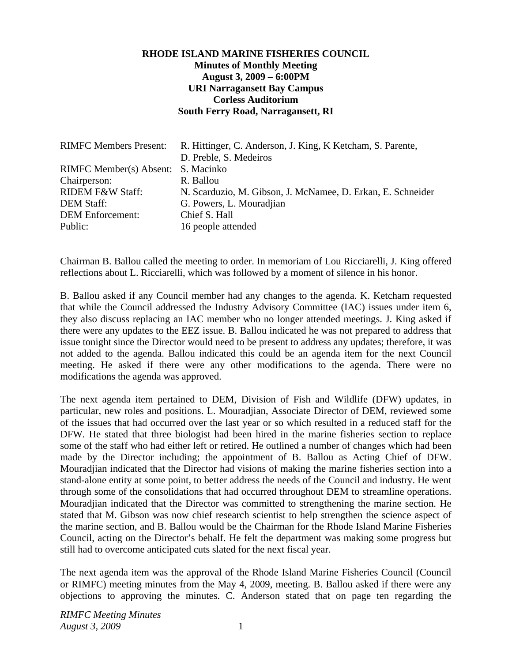## **RHODE ISLAND MARINE FISHERIES COUNCIL Minutes of Monthly Meeting August 3, 2009 – 6:00PM URI Narragansett Bay Campus Corless Auditorium South Ferry Road, Narragansett, RI**

| <b>RIMFC Members Present:</b>      | R. Hittinger, C. Anderson, J. King, K. Ketcham, S. Parente, |
|------------------------------------|-------------------------------------------------------------|
|                                    | D. Preble, S. Medeiros                                      |
| RIMFC Member(s) Absent: S. Macinko |                                                             |
| Chairperson:                       | R. Ballou                                                   |
| <b>RIDEM F&amp;W Staff:</b>        | N. Scarduzio, M. Gibson, J. McNamee, D. Erkan, E. Schneider |
| <b>DEM Staff:</b>                  | G. Powers, L. Mouradjian                                    |
| <b>DEM</b> Enforcement:            | Chief S. Hall                                               |
| Public:                            | 16 people attended                                          |

Chairman B. Ballou called the meeting to order. In memoriam of Lou Ricciarelli, J. King offered reflections about L. Ricciarelli, which was followed by a moment of silence in his honor.

B. Ballou asked if any Council member had any changes to the agenda. K. Ketcham requested that while the Council addressed the Industry Advisory Committee (IAC) issues under item 6, they also discuss replacing an IAC member who no longer attended meetings. J. King asked if there were any updates to the EEZ issue. B. Ballou indicated he was not prepared to address that issue tonight since the Director would need to be present to address any updates; therefore, it was not added to the agenda. Ballou indicated this could be an agenda item for the next Council meeting. He asked if there were any other modifications to the agenda. There were no modifications the agenda was approved.

The next agenda item pertained to DEM, Division of Fish and Wildlife (DFW) updates, in particular, new roles and positions. L. Mouradjian, Associate Director of DEM, reviewed some of the issues that had occurred over the last year or so which resulted in a reduced staff for the DFW. He stated that three biologist had been hired in the marine fisheries section to replace some of the staff who had either left or retired. He outlined a number of changes which had been made by the Director including; the appointment of B. Ballou as Acting Chief of DFW. Mouradjian indicated that the Director had visions of making the marine fisheries section into a stand-alone entity at some point, to better address the needs of the Council and industry. He went through some of the consolidations that had occurred throughout DEM to streamline operations. Mouradjian indicated that the Director was committed to strengthening the marine section. He stated that M. Gibson was now chief research scientist to help strengthen the science aspect of the marine section, and B. Ballou would be the Chairman for the Rhode Island Marine Fisheries Council, acting on the Director's behalf. He felt the department was making some progress but still had to overcome anticipated cuts slated for the next fiscal year.

The next agenda item was the approval of the Rhode Island Marine Fisheries Council (Council or RIMFC) meeting minutes from the May 4, 2009, meeting. B. Ballou asked if there were any objections to approving the minutes. C. Anderson stated that on page ten regarding the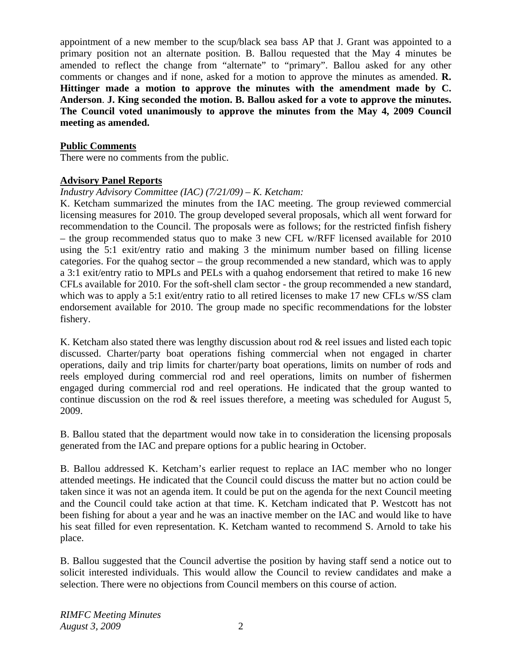appointment of a new member to the scup/black sea bass AP that J. Grant was appointed to a primary position not an alternate position. B. Ballou requested that the May 4 minutes be amended to reflect the change from "alternate" to "primary". Ballou asked for any other comments or changes and if none, asked for a motion to approve the minutes as amended. **R. Hittinger made a motion to approve the minutes with the amendment made by C. Anderson**. **J. King seconded the motion. B. Ballou asked for a vote to approve the minutes. The Council voted unanimously to approve the minutes from the May 4, 2009 Council meeting as amended.** 

## **Public Comments**

There were no comments from the public.

## **Advisory Panel Reports**

## *Industry Advisory Committee (IAC) (7/21/09) – K. Ketcham:*

K. Ketcham summarized the minutes from the IAC meeting. The group reviewed commercial licensing measures for 2010. The group developed several proposals, which all went forward for recommendation to the Council. The proposals were as follows; for the restricted finfish fishery – the group recommended status quo to make 3 new CFL w/RFF licensed available for 2010 using the 5:1 exit/entry ratio and making 3 the minimum number based on filling license categories. For the quahog sector – the group recommended a new standard, which was to apply a 3:1 exit/entry ratio to MPLs and PELs with a quahog endorsement that retired to make 16 new CFLs available for 2010. For the soft-shell clam sector - the group recommended a new standard, which was to apply a 5:1 exit/entry ratio to all retired licenses to make 17 new CFLs w/SS clam endorsement available for 2010. The group made no specific recommendations for the lobster fishery.

K. Ketcham also stated there was lengthy discussion about rod & reel issues and listed each topic discussed. Charter/party boat operations fishing commercial when not engaged in charter operations, daily and trip limits for charter/party boat operations, limits on number of rods and reels employed during commercial rod and reel operations, limits on number of fishermen engaged during commercial rod and reel operations. He indicated that the group wanted to continue discussion on the rod & reel issues therefore, a meeting was scheduled for August 5, 2009.

B. Ballou stated that the department would now take in to consideration the licensing proposals generated from the IAC and prepare options for a public hearing in October.

B. Ballou addressed K. Ketcham's earlier request to replace an IAC member who no longer attended meetings. He indicated that the Council could discuss the matter but no action could be taken since it was not an agenda item. It could be put on the agenda for the next Council meeting and the Council could take action at that time. K. Ketcham indicated that P. Westcott has not been fishing for about a year and he was an inactive member on the IAC and would like to have his seat filled for even representation. K. Ketcham wanted to recommend S. Arnold to take his place.

B. Ballou suggested that the Council advertise the position by having staff send a notice out to solicit interested individuals. This would allow the Council to review candidates and make a selection. There were no objections from Council members on this course of action.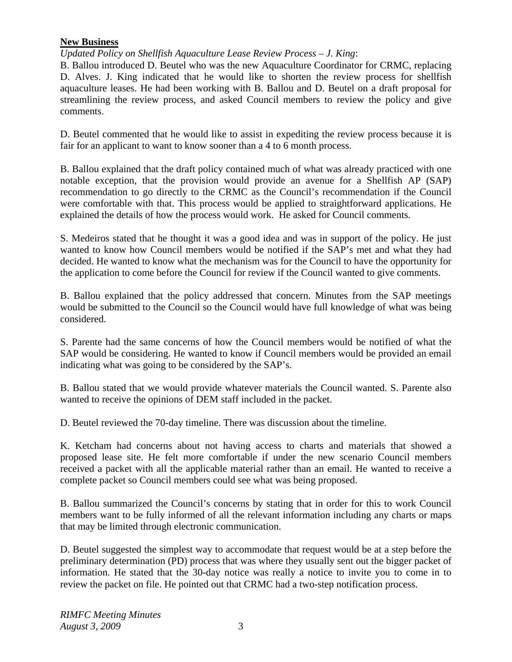## **New Business**

*Updated Policy on Shellfish Aquaculture Lease Review Process – J. King*:

B. Ballou introduced D. Beutel who was the new Aquaculture Coordinator for CRMC, replacing D. Alves. J. King indicated that he would like to shorten the review process for shellfish aquaculture leases. He had been working with B. Ballou and D. Beutel on a draft proposal for streamlining the review process, and asked Council members to review the policy and give comments.

D. Beutel commented that he would like to assist in expediting the review process because it is fair for an applicant to want to know sooner than a 4 to 6 month process.

B. Ballou explained that the draft policy contained much of what was already practiced with one notable exception, that the provision would provide an avenue for a Shellfish AP (SAP) recommendation to go directly to the CRMC as the Council's recommendation if the Council were comfortable with that. This process would be applied to straightforward applications. He explained the details of how the process would work. He asked for Council comments.

S. Medeiros stated that he thought it was a good idea and was in support of the policy. He just wanted to know how Council members would be notified if the SAP's met and what they had decided. He wanted to know what the mechanism was for the Council to have the opportunity for the application to come before the Council for review if the Council wanted to give comments.

B. Ballou explained that the policy addressed that concern. Minutes from the SAP meetings would be submitted to the Council so the Council would have full knowledge of what was being considered.

S. Parente had the same concerns of how the Council members would be notified of what the SAP would be considering. He wanted to know if Council members would be provided an email indicating what was going to be considered by the SAP's.

B. Ballou stated that we would provide whatever materials the Council wanted. S. Parente also wanted to receive the opinions of DEM staff included in the packet.

D. Beutel reviewed the 70-day timeline. There was discussion about the timeline.

K. Ketcham had concerns about not having access to charts and materials that showed a proposed lease site. He felt more comfortable if under the new scenario Council members received a packet with all the applicable material rather than an email. He wanted to receive a complete packet so Council members could see what was being proposed.

B. Ballou summarized the Council's concerns by stating that in order for this to work Council members want to be fully informed of all the relevant information including any charts or maps that may be limited through electronic communication.

D. Beutel suggested the simplest way to accommodate that request would be at a step before the preliminary determination (PD) process that was where they usually sent out the bigger packet of information. He stated that the 30-day notice was really a notice to invite you to come in to review the packet on file. He pointed out that CRMC had a two-step notification process.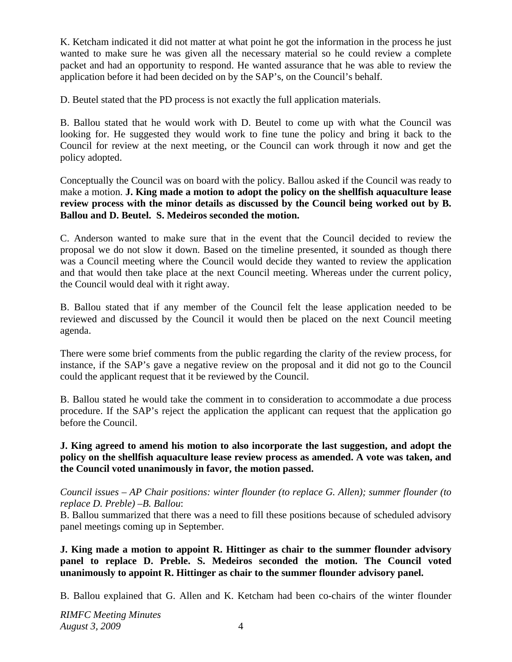K. Ketcham indicated it did not matter at what point he got the information in the process he just wanted to make sure he was given all the necessary material so he could review a complete packet and had an opportunity to respond. He wanted assurance that he was able to review the application before it had been decided on by the SAP's, on the Council's behalf.

D. Beutel stated that the PD process is not exactly the full application materials.

B. Ballou stated that he would work with D. Beutel to come up with what the Council was looking for. He suggested they would work to fine tune the policy and bring it back to the Council for review at the next meeting, or the Council can work through it now and get the policy adopted.

Conceptually the Council was on board with the policy. Ballou asked if the Council was ready to make a motion. **J. King made a motion to adopt the policy on the shellfish aquaculture lease review process with the minor details as discussed by the Council being worked out by B. Ballou and D. Beutel. S. Medeiros seconded the motion.** 

C. Anderson wanted to make sure that in the event that the Council decided to review the proposal we do not slow it down. Based on the timeline presented, it sounded as though there was a Council meeting where the Council would decide they wanted to review the application and that would then take place at the next Council meeting. Whereas under the current policy, the Council would deal with it right away.

B. Ballou stated that if any member of the Council felt the lease application needed to be reviewed and discussed by the Council it would then be placed on the next Council meeting agenda.

There were some brief comments from the public regarding the clarity of the review process, for instance, if the SAP's gave a negative review on the proposal and it did not go to the Council could the applicant request that it be reviewed by the Council.

B. Ballou stated he would take the comment in to consideration to accommodate a due process procedure. If the SAP's reject the application the applicant can request that the application go before the Council.

# **J. King agreed to amend his motion to also incorporate the last suggestion, and adopt the policy on the shellfish aquaculture lease review process as amended. A vote was taken, and the Council voted unanimously in favor, the motion passed.**

*Council issues – AP Chair positions: winter flounder (to replace G. Allen); summer flounder (to replace D. Preble) –B. Ballou*:

B. Ballou summarized that there was a need to fill these positions because of scheduled advisory panel meetings coming up in September.

**J. King made a motion to appoint R. Hittinger as chair to the summer flounder advisory panel to replace D. Preble. S. Medeiros seconded the motion. The Council voted unanimously to appoint R. Hittinger as chair to the summer flounder advisory panel.** 

B. Ballou explained that G. Allen and K. Ketcham had been co-chairs of the winter flounder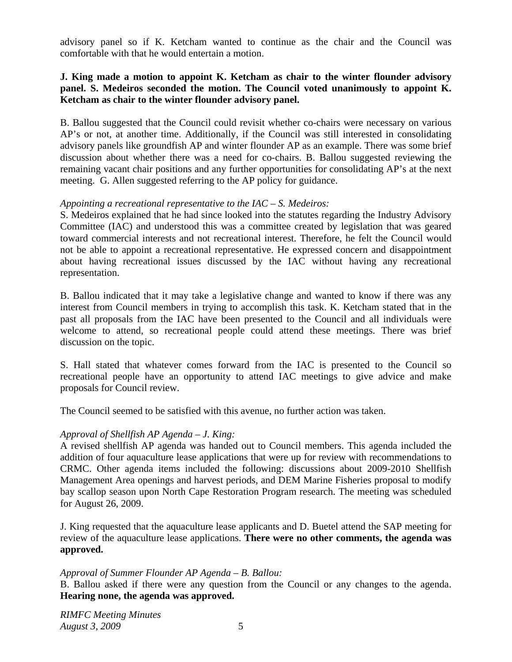advisory panel so if K. Ketcham wanted to continue as the chair and the Council was comfortable with that he would entertain a motion.

## **J. King made a motion to appoint K. Ketcham as chair to the winter flounder advisory panel. S. Medeiros seconded the motion. The Council voted unanimously to appoint K. Ketcham as chair to the winter flounder advisory panel.**

B. Ballou suggested that the Council could revisit whether co-chairs were necessary on various AP's or not, at another time. Additionally, if the Council was still interested in consolidating advisory panels like groundfish AP and winter flounder AP as an example. There was some brief discussion about whether there was a need for co-chairs. B. Ballou suggested reviewing the remaining vacant chair positions and any further opportunities for consolidating AP's at the next meeting. G. Allen suggested referring to the AP policy for guidance.

## *Appointing a recreational representative to the IAC – S. Medeiros:*

S. Medeiros explained that he had since looked into the statutes regarding the Industry Advisory Committee (IAC) and understood this was a committee created by legislation that was geared toward commercial interests and not recreational interest. Therefore, he felt the Council would not be able to appoint a recreational representative. He expressed concern and disappointment about having recreational issues discussed by the IAC without having any recreational representation.

B. Ballou indicated that it may take a legislative change and wanted to know if there was any interest from Council members in trying to accomplish this task. K. Ketcham stated that in the past all proposals from the IAC have been presented to the Council and all individuals were welcome to attend, so recreational people could attend these meetings. There was brief discussion on the topic.

S. Hall stated that whatever comes forward from the IAC is presented to the Council so recreational people have an opportunity to attend IAC meetings to give advice and make proposals for Council review.

The Council seemed to be satisfied with this avenue, no further action was taken.

# *Approval of Shellfish AP Agenda – J. King:*

A revised shellfish AP agenda was handed out to Council members. This agenda included the addition of four aquaculture lease applications that were up for review with recommendations to CRMC. Other agenda items included the following: discussions about 2009-2010 Shellfish Management Area openings and harvest periods, and DEM Marine Fisheries proposal to modify bay scallop season upon North Cape Restoration Program research. The meeting was scheduled for August 26, 2009.

J. King requested that the aquaculture lease applicants and D. Buetel attend the SAP meeting for review of the aquaculture lease applications. **There were no other comments, the agenda was approved.**

# *Approval of Summer Flounder AP Agenda – B. Ballou:*

B. Ballou asked if there were any question from the Council or any changes to the agenda. **Hearing none, the agenda was approved.**

*RIMFC Meeting Minutes August 3, 2009* 5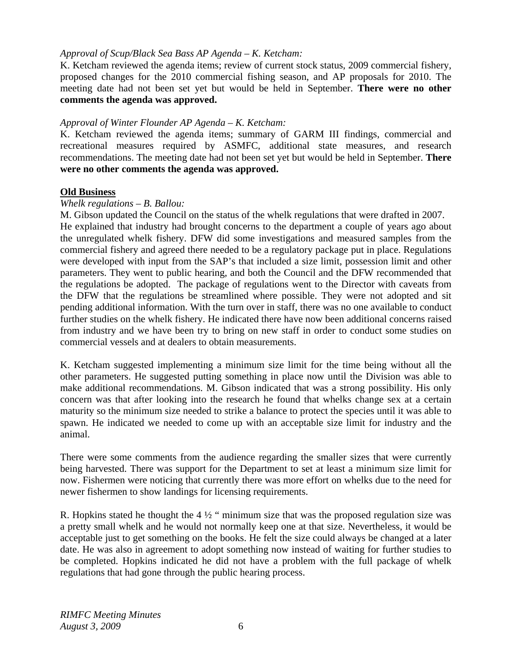## *Approval of Scup/Black Sea Bass AP Agenda – K. Ketcham:*

K. Ketcham reviewed the agenda items; review of current stock status, 2009 commercial fishery, proposed changes for the 2010 commercial fishing season, and AP proposals for 2010. The meeting date had not been set yet but would be held in September. **There were no other comments the agenda was approved.**

#### *Approval of Winter Flounder AP Agenda – K. Ketcham:*

K. Ketcham reviewed the agenda items; summary of GARM III findings, commercial and recreational measures required by ASMFC, additional state measures, and research recommendations. The meeting date had not been set yet but would be held in September. **There were no other comments the agenda was approved.**

#### **Old Business**

#### *Whelk regulations – B. Ballou:*

M. Gibson updated the Council on the status of the whelk regulations that were drafted in 2007. He explained that industry had brought concerns to the department a couple of years ago about the unregulated whelk fishery. DFW did some investigations and measured samples from the commercial fishery and agreed there needed to be a regulatory package put in place. Regulations were developed with input from the SAP's that included a size limit, possession limit and other parameters. They went to public hearing, and both the Council and the DFW recommended that the regulations be adopted. The package of regulations went to the Director with caveats from the DFW that the regulations be streamlined where possible. They were not adopted and sit pending additional information. With the turn over in staff, there was no one available to conduct further studies on the whelk fishery. He indicated there have now been additional concerns raised from industry and we have been try to bring on new staff in order to conduct some studies on commercial vessels and at dealers to obtain measurements.

K. Ketcham suggested implementing a minimum size limit for the time being without all the other parameters. He suggested putting something in place now until the Division was able to make additional recommendations. M. Gibson indicated that was a strong possibility. His only concern was that after looking into the research he found that whelks change sex at a certain maturity so the minimum size needed to strike a balance to protect the species until it was able to spawn. He indicated we needed to come up with an acceptable size limit for industry and the animal.

There were some comments from the audience regarding the smaller sizes that were currently being harvested. There was support for the Department to set at least a minimum size limit for now. Fishermen were noticing that currently there was more effort on whelks due to the need for newer fishermen to show landings for licensing requirements.

R. Hopkins stated he thought the  $4\frac{1}{2}$  " minimum size that was the proposed regulation size was a pretty small whelk and he would not normally keep one at that size. Nevertheless, it would be acceptable just to get something on the books. He felt the size could always be changed at a later date. He was also in agreement to adopt something now instead of waiting for further studies to be completed. Hopkins indicated he did not have a problem with the full package of whelk regulations that had gone through the public hearing process.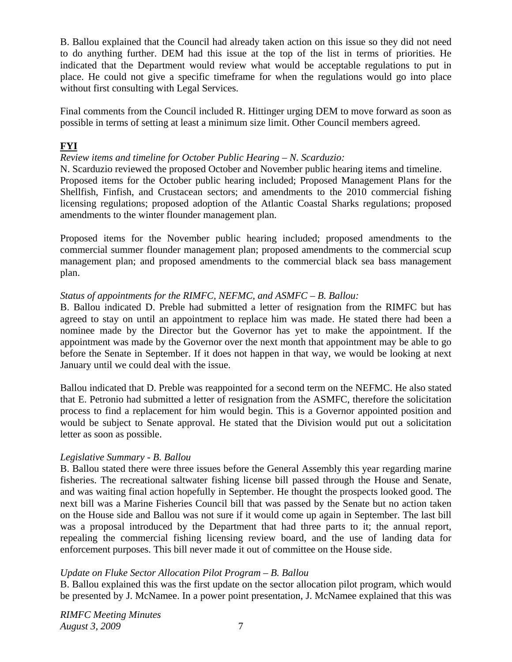B. Ballou explained that the Council had already taken action on this issue so they did not need to do anything further. DEM had this issue at the top of the list in terms of priorities. He indicated that the Department would review what would be acceptable regulations to put in place. He could not give a specific timeframe for when the regulations would go into place without first consulting with Legal Services.

Final comments from the Council included R. Hittinger urging DEM to move forward as soon as possible in terms of setting at least a minimum size limit. Other Council members agreed.

# **FYI**

# *Review items and timeline for October Public Hearing – N. Scarduzio:*

N. Scarduzio reviewed the proposed October and November public hearing items and timeline. Proposed items for the October public hearing included; Proposed Management Plans for the Shellfish, Finfish, and Crustacean sectors; and amendments to the 2010 commercial fishing licensing regulations; proposed adoption of the Atlantic Coastal Sharks regulations; proposed amendments to the winter flounder management plan.

Proposed items for the November public hearing included; proposed amendments to the commercial summer flounder management plan; proposed amendments to the commercial scup management plan; and proposed amendments to the commercial black sea bass management plan.

# *Status of appointments for the RIMFC, NEFMC, and ASMFC – B. Ballou:*

B. Ballou indicated D. Preble had submitted a letter of resignation from the RIMFC but has agreed to stay on until an appointment to replace him was made. He stated there had been a nominee made by the Director but the Governor has yet to make the appointment. If the appointment was made by the Governor over the next month that appointment may be able to go before the Senate in September. If it does not happen in that way, we would be looking at next January until we could deal with the issue.

Ballou indicated that D. Preble was reappointed for a second term on the NEFMC. He also stated that E. Petronio had submitted a letter of resignation from the ASMFC, therefore the solicitation process to find a replacement for him would begin. This is a Governor appointed position and would be subject to Senate approval. He stated that the Division would put out a solicitation letter as soon as possible.

# *Legislative Summary - B. Ballou*

B. Ballou stated there were three issues before the General Assembly this year regarding marine fisheries. The recreational saltwater fishing license bill passed through the House and Senate, and was waiting final action hopefully in September. He thought the prospects looked good. The next bill was a Marine Fisheries Council bill that was passed by the Senate but no action taken on the House side and Ballou was not sure if it would come up again in September. The last bill was a proposal introduced by the Department that had three parts to it; the annual report, repealing the commercial fishing licensing review board, and the use of landing data for enforcement purposes. This bill never made it out of committee on the House side.

# *Update on Fluke Sector Allocation Pilot Program – B. Ballou*

B. Ballou explained this was the first update on the sector allocation pilot program, which would be presented by J. McNamee. In a power point presentation, J. McNamee explained that this was

*RIMFC Meeting Minutes August 3, 2009* 7